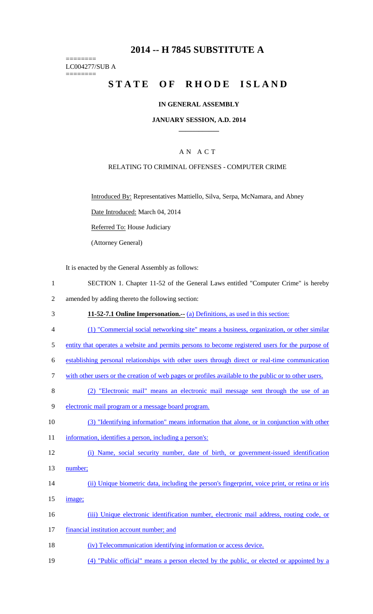# **2014 -- H 7845 SUBSTITUTE A**

======== LC004277/SUB A ========

# STATE OF RHODE ISLAND

# **IN GENERAL ASSEMBLY**

### **JANUARY SESSION, A.D. 2014 \_\_\_\_\_\_\_\_\_\_\_\_**

# A N A C T

## RELATING TO CRIMINAL OFFENSES - COMPUTER CRIME

Introduced By: Representatives Mattiello, Silva, Serpa, McNamara, and Abney

Date Introduced: March 04, 2014

Referred To: House Judiciary

(Attorney General)

It is enacted by the General Assembly as follows:

- 1 SECTION 1. Chapter 11-52 of the General Laws entitled "Computer Crime" is hereby
- 2 amended by adding thereto the following section:
- 3 **11-52-7.1 Online Impersonation.--** (a) Definitions, as used in this section:
- 4 (1) "Commercial social networking site" means a business, organization, or other similar
- 5 entity that operates a website and permits persons to become registered users for the purpose of
- 6 establishing personal relationships with other users through direct or real-time communication
- 7 with other users or the creation of web pages or profiles available to the public or to other users.
- 8 (2) "Electronic mail" means an electronic mail message sent through the use of an
- 9 electronic mail program or a message board program.
- 10 (3) "Identifying information" means information that alone, or in conjunction with other
- 11 information, identifies a person, including a person's:
- 12 (i) Name, social security number, date of birth, or government-issued identification
- 13 number;
- 14 (ii) Unique biometric data, including the person's fingerprint, voice print, or retina or iris
- 15 image;
- 16 (iii) Unique electronic identification number, electronic mail address, routing code, or
- 17 financial institution account number; and
- 18 (iv) Telecommunication identifying information or access device.
- 19 (4) "Public official" means a person elected by the public, or elected or appointed by a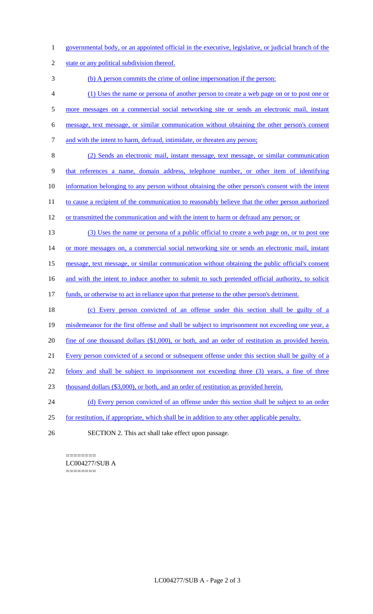- 1 governmental body, or an appointed official in the executive, legislative, or judicial branch of the
- 2 state or any political subdivision thereof.

3 (b) A person commits the crime of online impersonation if the person:

- 4 (1) Uses the name or persona of another person to create a web page on or to post one or
- 5 more messages on a commercial social networking site or sends an electronic mail, instant
- 6 message, text message, or similar communication without obtaining the other person's consent
- 7 and with the intent to harm, defraud, intimidate, or threaten any person;
- 8 (2) Sends an electronic mail, instant message, text message, or similar communication 9 that references a name, domain address, telephone number, or other item of identifying 10 information belonging to any person without obtaining the other person's consent with the intent 11 to cause a recipient of the communication to reasonably believe that the other person authorized
- 12 or transmitted the communication and with the intent to harm or defraud any person; or
- 13 (3) Uses the name or persona of a public official to create a web page on, or to post one 14 or more messages on, a commercial social networking site or sends an electronic mail, instant 15 message, text message, or similar communication without obtaining the public official's consent
- 16 and with the intent to induce another to submit to such pretended official authority, to solicit
- 17 funds, or otherwise to act in reliance upon that pretense to the other person's detriment.
- 18 (c) Every person convicted of an offense under this section shall be guilty of a
- 19 misdemeanor for the first offense and shall be subject to imprisonment not exceeding one year, a
- 20 fine of one thousand dollars (\$1,000), or both, and an order of restitution as provided herein.
- 21 Every person convicted of a second or subsequent offense under this section shall be guilty of a
- 22 felony and shall be subject to imprisonment not exceeding three (3) years, a fine of three
- 23 thousand dollars (\$3,000), or both, and an order of restitution as provided herein.
- 24 (d) Every person convicted of an offense under this section shall be subject to an order
- 25 for restitution, if appropriate, which shall be in addition to any other applicable penalty.
- 26 SECTION 2. This act shall take effect upon passage.

#### ======== LC004277/SUB A ========